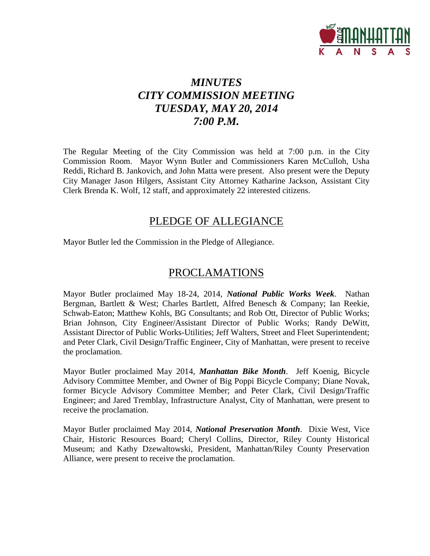

# *MINUTES CITY COMMISSION MEETING TUESDAY, MAY 20, 2014 7:00 P.M.*

The Regular Meeting of the City Commission was held at 7:00 p.m. in the City Commission Room. Mayor Wynn Butler and Commissioners Karen McCulloh, Usha Reddi, Richard B. Jankovich, and John Matta were present. Also present were the Deputy City Manager Jason Hilgers, Assistant City Attorney Katharine Jackson, Assistant City Clerk Brenda K. Wolf, 12 staff, and approximately 22 interested citizens.

# PLEDGE OF ALLEGIANCE

Mayor Butler led the Commission in the Pledge of Allegiance.

# PROCLAMATIONS

Mayor Butler proclaimed May 18-24, 2014, *National Public Works Week*. Nathan Bergman, Bartlett & West; Charles Bartlett, Alfred Benesch & Company; Ian Reekie, Schwab-Eaton; Matthew Kohls, BG Consultants; and Rob Ott, Director of Public Works; Brian Johnson, City Engineer/Assistant Director of Public Works; Randy DeWitt, Assistant Director of Public Works-Utilities; Jeff Walters, Street and Fleet Superintendent; and Peter Clark, Civil Design/Traffic Engineer, City of Manhattan, were present to receive the proclamation.

Mayor Butler proclaimed May 2014, *Manhattan Bike Month*. Jeff Koenig, Bicycle Advisory Committee Member, and Owner of Big Poppi Bicycle Company; Diane Novak, former Bicycle Advisory Committee Member; and Peter Clark, Civil Design/Traffic Engineer; and Jared Tremblay, Infrastructure Analyst, City of Manhattan, were present to receive the proclamation.

Mayor Butler proclaimed May 2014, *National Preservation Month*. Dixie West, Vice Chair, Historic Resources Board; Cheryl Collins, Director, Riley County Historical Museum; and Kathy Dzewaltowski, President, Manhattan/Riley County Preservation Alliance, were present to receive the proclamation.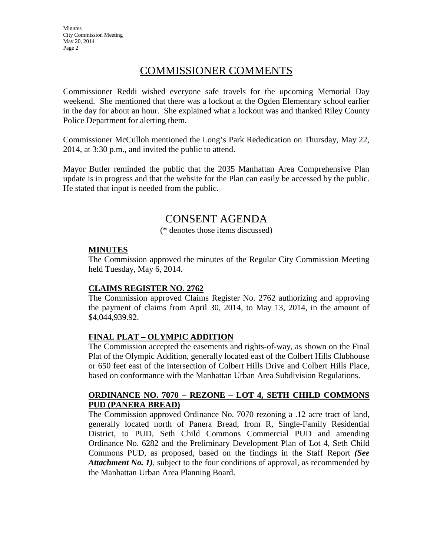# COMMISSIONER COMMENTS

Commissioner Reddi wished everyone safe travels for the upcoming Memorial Day weekend. She mentioned that there was a lockout at the Ogden Elementary school earlier in the day for about an hour. She explained what a lockout was and thanked Riley County Police Department for alerting them.

Commissioner McCulloh mentioned the Long's Park Rededication on Thursday, May 22, 2014, at 3:30 p.m., and invited the public to attend.

Mayor Butler reminded the public that the 2035 Manhattan Area Comprehensive Plan update is in progress and that the website for the Plan can easily be accessed by the public. He stated that input is needed from the public.

# CONSENT AGENDA

(\* denotes those items discussed)

### **MINUTES**

The Commission approved the minutes of the Regular City Commission Meeting held Tuesday, May 6, 2014.

# **CLAIMS REGISTER NO. 2762**

The Commission approved Claims Register No. 2762 authorizing and approving the payment of claims from April 30, 2014, to May 13, 2014, in the amount of \$4,044,939.92.

# **FINAL PLAT – OLYMPIC ADDITION**

The Commission accepted the easements and rights-of-way, as shown on the Final Plat of the Olympic Addition, generally located east of the Colbert Hills Clubhouse or 650 feet east of the intersection of Colbert Hills Drive and Colbert Hills Place, based on conformance with the Manhattan Urban Area Subdivision Regulations.

#### **ORDINANCE NO. 7070 – REZONE – LOT 4, SETH CHILD COMMONS PUD (PANERA BREAD)**

The Commission approved Ordinance No. 7070 rezoning a .12 acre tract of land, generally located north of Panera Bread, from R, Single-Family Residential District, to PUD, Seth Child Commons Commercial PUD and amending Ordinance No. 6282 and the Preliminary Development Plan of Lot 4, Seth Child Commons PUD, as proposed, based on the findings in the Staff Report *(See Attachment No. 1)*, subject to the four conditions of approval, as recommended by the Manhattan Urban Area Planning Board.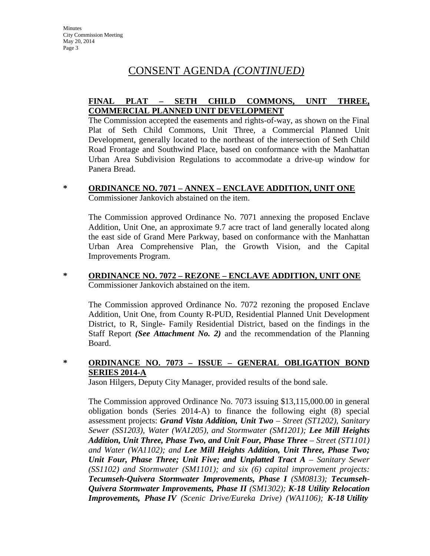### **FINAL PLAT – SETH CHILD COMMONS, UNIT THREE, COMMERCIAL PLANNED UNIT DEVELOPMENT**

The Commission accepted the easements and rights-of-way, as shown on the Final Plat of Seth Child Commons, Unit Three, a Commercial Planned Unit Development, generally located to the northeast of the intersection of Seth Child Road Frontage and Southwind Place, based on conformance with the Manhattan Urban Area Subdivision Regulations to accommodate a drive-up window for Panera Bread.

## **\* ORDINANCE NO. 7071 – ANNEX – ENCLAVE ADDITION, UNIT ONE** Commissioner Jankovich abstained on the item.

The Commission approved Ordinance No. 7071 annexing the proposed Enclave Addition, Unit One, an approximate 9.7 acre tract of land generally located along the east side of Grand Mere Parkway, based on conformance with the Manhattan Urban Area Comprehensive Plan, the Growth Vision, and the Capital Improvements Program.

### **\* ORDINANCE NO. 7072 – REZONE – ENCLAVE ADDITION, UNIT ONE** Commissioner Jankovich abstained on the item.

The Commission approved Ordinance No. 7072 rezoning the proposed Enclave Addition, Unit One, from County R-PUD, Residential Planned Unit Development District, to R, Single- Family Residential District, based on the findings in the Staff Report *(See Attachment No. 2)* and the recommendation of the Planning Board.

# **\* ORDINANCE NO. 7073 – ISSUE – GENERAL OBLIGATION BOND SERIES 2014-A**

Jason Hilgers, Deputy City Manager, provided results of the bond sale.

The Commission approved Ordinance No. 7073 issuing \$13,115,000.00 in general obligation bonds (Series 2014-A) to finance the following eight (8) special assessment projects: *Grand Vista Addition, Unit Two – Street (ST1202), Sanitary Sewer (SS1203), Water (WA1205), and Stormwater (SM1201); Lee Mill Heights Addition, Unit Three, Phase Two, and Unit Four, Phase Three – Street (ST1101) and Water (WA1102); and Lee Mill Heights Addition, Unit Three, Phase Two; Unit Four, Phase Three; Unit Five; and Unplatted Tract A – Sanitary Sewer (SS1102) and Stormwater (SM1101); and six (6) capital improvement projects: Tecumseh-Quivera Stormwater Improvements, Phase I (SM0813); Tecumseh-Quivera Stormwater Improvements, Phase II (SM1302); K-18 Utility Relocation Improvements, Phase IV (Scenic Drive/Eureka Drive) (WA1106); K-18 Utility*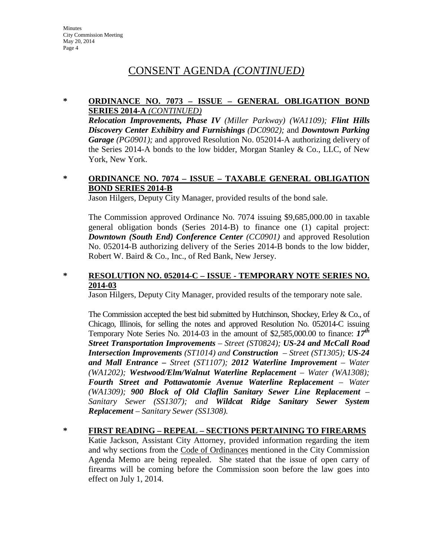#### **\* ORDINANCE NO. 7073 – ISSUE – GENERAL OBLIGATION BOND SERIES 2014-A** *(CONTINUED)*

*Relocation Improvements, Phase IV (Miller Parkway) (WA1109); Flint Hills Discovery Center Exhibitry and Furnishings (DC0902);* and *Downtown Parking Garage (PG0901);* and approved Resolution No. 052014-A authorizing delivery of the Series 2014-A bonds to the low bidder, Morgan Stanley & Co., LLC, of New York, New York.

### **\* ORDINANCE NO. 7074 – ISSUE – TAXABLE GENERAL OBLIGATION BOND SERIES 2014-B**

Jason Hilgers, Deputy City Manager, provided results of the bond sale.

The Commission approved Ordinance No. 7074 issuing \$9,685,000.00 in taxable general obligation bonds (Series 2014-B) to finance one (1) capital project: *Downtown (South End) Conference Center (CC0901)* and approved Resolution No. 052014-B authorizing delivery of the Series 2014-B bonds to the low bidder, Robert W. Baird & Co., Inc., of Red Bank, New Jersey.

#### **\* RESOLUTION NO. 052014-C – ISSUE - TEMPORARY NOTE SERIES NO. 2014-03**

Jason Hilgers, Deputy City Manager, provided results of the temporary note sale.

The Commission accepted the best bid submitted by Hutchinson, Shockey, Erley & Co., of Chicago, Illinois, for selling the notes and approved Resolution No. 052014-C issuing Temporary Note Series No. 2014-03 in the amount of \$2,585,000.00 to finance: *17th Street Transportation Improvements – Street (ST0824); US-24 and McCall Road Intersection Improvements (ST1014) and Construction – Street (ST1305); US-24 and Mall Entrance – Street (ST1107); 2012 Waterline Improvement – Water (WA1202); Westwood/Elm/Walnut Waterline Replacement – Water (WA1308); Fourth Street and Pottawatomie Avenue Waterline Replacement – Water (WA1309); 900 Block of Old Claflin Sanitary Sewer Line Replacement – Sanitary Sewer (SS1307); and Wildcat Ridge Sanitary Sewer System Replacement – Sanitary Sewer (SS1308).*

#### **\* FIRST READING – REPEAL – SECTIONS PERTAINING TO FIREARMS**

Katie Jackson, Assistant City Attorney, provided information regarding the item and why sections from the Code of Ordinances mentioned in the City Commission Agenda Memo are being repealed. She stated that the issue of open carry of firearms will be coming before the Commission soon before the law goes into effect on July 1, 2014.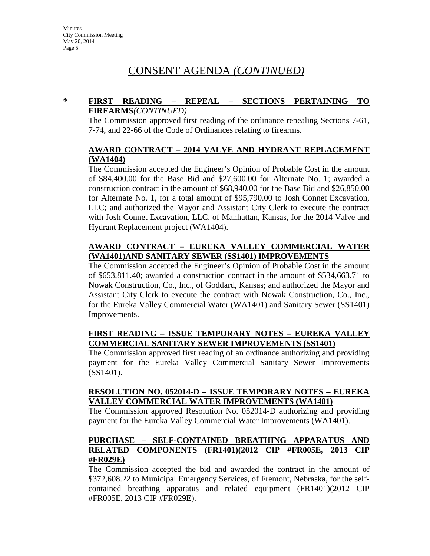### **\* FIRST READING – REPEAL – SECTIONS PERTAINING TO FIREARMS***(CONTINUED)*

The Commission approved first reading of the ordinance repealing Sections 7-61, 7-74, and 22-66 of the Code of Ordinances relating to firearms.

## **AWARD CONTRACT – 2014 VALVE AND HYDRANT REPLACEMENT (WA1404)**

The Commission accepted the Engineer's Opinion of Probable Cost in the amount of \$84,400.00 for the Base Bid and \$27,600.00 for Alternate No. 1; awarded a construction contract in the amount of \$68,940.00 for the Base Bid and \$26,850.00 for Alternate No. 1, for a total amount of \$95,790.00 to Josh Connet Excavation, LLC; and authorized the Mayor and Assistant City Clerk to execute the contract with Josh Connet Excavation, LLC, of Manhattan, Kansas, for the 2014 Valve and Hydrant Replacement project (WA1404).

# **AWARD CONTRACT – EUREKA VALLEY COMMERCIAL WATER (WA1401)AND SANITARY SEWER (SS1401) IMPROVEMENTS**

The Commission accepted the Engineer's Opinion of Probable Cost in the amount of \$653,811.40; awarded a construction contract in the amount of \$534,663.71 to Nowak Construction, Co., Inc., of Goddard, Kansas; and authorized the Mayor and Assistant City Clerk to execute the contract with Nowak Construction, Co., Inc., for the Eureka Valley Commercial Water (WA1401) and Sanitary Sewer (SS1401) Improvements.

# **FIRST READING – ISSUE TEMPORARY NOTES – EUREKA VALLEY COMMERCIAL SANITARY SEWER IMPROVEMENTS (SS1401)**

The Commission approved first reading of an ordinance authorizing and providing payment for the Eureka Valley Commercial Sanitary Sewer Improvements (SS1401).

### **RESOLUTION NO. 052014-D – ISSUE TEMPORARY NOTES – EUREKA VALLEY COMMERCIAL WATER IMPROVEMENTS (WA1401)**

The Commission approved Resolution No. 052014-D authorizing and providing payment for the Eureka Valley Commercial Water Improvements (WA1401).

### **PURCHASE – SELF-CONTAINED BREATHING APPARATUS AND RELATED COMPONENTS (FR1401)(2012 CIP #FR005E, 2013 CIP #FR029E)**

The Commission accepted the bid and awarded the contract in the amount of \$372,608.22 to Municipal Emergency Services, of Fremont, Nebraska, for the selfcontained breathing apparatus and related equipment (FR1401)(2012 CIP #FR005E, 2013 CIP #FR029E).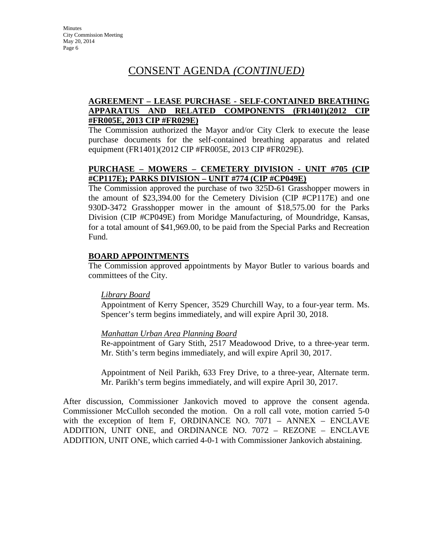## **AGREEMENT – LEASE PURCHASE - SELF-CONTAINED BREATHING APPARATUS AND RELATED COMPONENTS (FR1401)(2012 CIP #FR005E, 2013 CIP #FR029E)**

The Commission authorized the Mayor and/or City Clerk to execute the lease purchase documents for the self-contained breathing apparatus and related equipment (FR1401)(2012 CIP #FR005E, 2013 CIP #FR029E).

# **PURCHASE – MOWERS – CEMETERY DIVISION - UNIT #705 (CIP #CP117E); PARKS DIVISION – UNIT #774 (CIP #CP049E)**

The Commission approved the purchase of two 325D-61 Grasshopper mowers in the amount of \$23,394.00 for the Cemetery Division (CIP #CP117E) and one 930D-3472 Grasshopper mower in the amount of \$18,575.00 for the Parks Division (CIP #CP049E) from Moridge Manufacturing, of Moundridge, Kansas, for a total amount of \$41,969.00, to be paid from the Special Parks and Recreation Fund.

#### **BOARD APPOINTMENTS**

The Commission approved appointments by Mayor Butler to various boards and committees of the City.

#### *Library Board*

Appointment of Kerry Spencer, 3529 Churchill Way, to a four-year term. Ms. Spencer's term begins immediately, and will expire April 30, 2018.

#### *Manhattan Urban Area Planning Board*

Re-appointment of Gary Stith, 2517 Meadowood Drive, to a three-year term. Mr. Stith's term begins immediately, and will expire April 30, 2017.

Appointment of Neil Parikh, 633 Frey Drive, to a three-year, Alternate term. Mr. Parikh's term begins immediately, and will expire April 30, 2017.

After discussion, Commissioner Jankovich moved to approve the consent agenda. Commissioner McCulloh seconded the motion. On a roll call vote, motion carried 5-0 with the exception of Item F, ORDINANCE NO. 7071 – ANNEX – ENCLAVE ADDITION, UNIT ONE, and ORDINANCE NO. 7072 – REZONE – ENCLAVE ADDITION, UNIT ONE, which carried 4-0-1 with Commissioner Jankovich abstaining.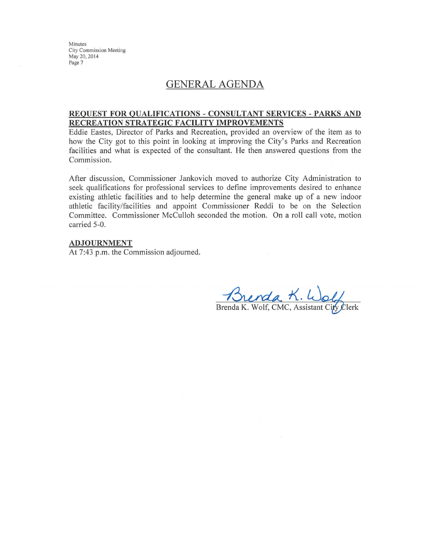# **GENERAL AGENDA**

#### REQUEST FOR QUALIFICATIONS - CONSULTANT SERVICES - PARKS AND RECREATION STRATEGIC FACILITY IMPROVEMENTS

Eddie Eastes, Director of Parks and Recreation, provided an overview of the item as to how the City got to this point in looking at improving the City's Parks and Recreation facilities and what is expected of the consultant. He then answered questions from the Commission.

After discussion, Commissioner Jankovich moved to authorize City Administration to seek qualifications for professional services to define improvements desired to enhance existing athletic facilities and to help determine the general make up of a new indoor athletic facility/facilities and appoint Commissioner Reddi to be on the Selection Committee. Commissioner McCulloh seconded the motion. On a roll call vote, motion carried 5-0.

#### **ADJOURNMENT**

At 7:43 p.m. the Commission adjourned.

Brenda K. Wolf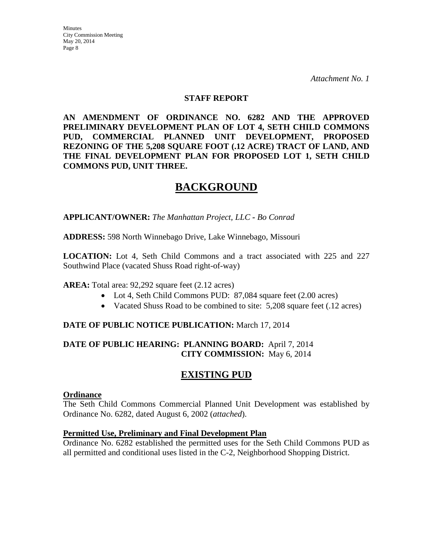*Attachment No. 1*

#### **STAFF REPORT**

**AN AMENDMENT OF ORDINANCE NO. 6282 AND THE APPROVED PRELIMINARY DEVELOPMENT PLAN OF LOT 4, SETH CHILD COMMONS PUD, COMMERCIAL PLANNED UNIT DEVELOPMENT, PROPOSED REZONING OF THE 5,208 SQUARE FOOT (.12 ACRE) TRACT OF LAND, AND THE FINAL DEVELOPMENT PLAN FOR PROPOSED LOT 1, SETH CHILD COMMONS PUD, UNIT THREE.**

# **BACKGROUND**

**APPLICANT/OWNER:** *The Manhattan Project, LLC - Bo Conrad*

#### **ADDRESS:** 598 North Winnebago Drive, Lake Winnebago, Missouri

**LOCATION:** Lot 4, Seth Child Commons and a tract associated with 225 and 227 Southwind Place (vacated Shuss Road right-of-way)

#### **AREA:** Total area: 92,292 square feet (2.12 acres)

- Lot 4, Seth Child Commons PUD: 87,084 square feet (2.00 acres)
- Vacated Shuss Road to be combined to site: 5,208 square feet (.12 acres)

#### **DATE OF PUBLIC NOTICE PUBLICATION:** March 17, 2014

### **DATE OF PUBLIC HEARING: PLANNING BOARD:** April 7, 2014 **CITY COMMISSION:** May 6, 2014

# **EXISTING PUD**

#### **Ordinance**

The Seth Child Commons Commercial Planned Unit Development was established by Ordinance No. 6282, dated August 6, 2002 (*attached*).

#### **Permitted Use, Preliminary and Final Development Plan**

Ordinance No. 6282 established the permitted uses for the Seth Child Commons PUD as all permitted and conditional uses listed in the C-2, Neighborhood Shopping District.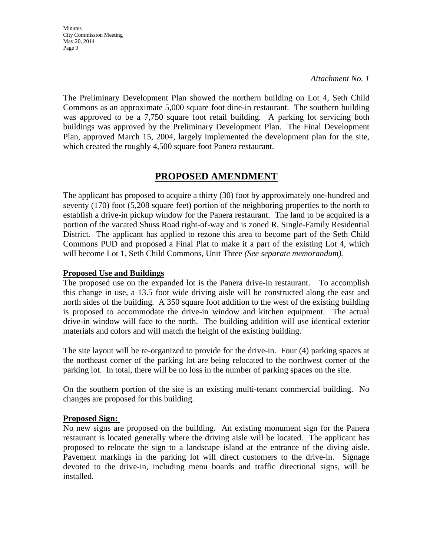*Attachment No. 1*

The Preliminary Development Plan showed the northern building on Lot 4, Seth Child Commons as an approximate 5,000 square foot dine-in restaurant. The southern building was approved to be a 7,750 square foot retail building. A parking lot servicing both buildings was approved by the Preliminary Development Plan. The Final Development Plan, approved March 15, 2004, largely implemented the development plan for the site, which created the roughly 4,500 square foot Panera restaurant.

# **PROPOSED AMENDMENT**

The applicant has proposed to acquire a thirty (30) foot by approximately one-hundred and seventy (170) foot (5,208 square feet) portion of the neighboring properties to the north to establish a drive-in pickup window for the Panera restaurant. The land to be acquired is a portion of the vacated Shuss Road right-of-way and is zoned R, Single-Family Residential District. The applicant has applied to rezone this area to become part of the Seth Child Commons PUD and proposed a Final Plat to make it a part of the existing Lot 4, which will become Lot 1, Seth Child Commons, Unit Three *(See separate memorandum).* 

### **Proposed Use and Buildings**

The proposed use on the expanded lot is the Panera drive-in restaurant. To accomplish this change in use, a 13.5 foot wide driving aisle will be constructed along the east and north sides of the building. A 350 square foot addition to the west of the existing building is proposed to accommodate the drive-in window and kitchen equipment. The actual drive-in window will face to the north. The building addition will use identical exterior materials and colors and will match the height of the existing building.

The site layout will be re-organized to provide for the drive-in. Four (4) parking spaces at the northeast corner of the parking lot are being relocated to the northwest corner of the parking lot. In total, there will be no loss in the number of parking spaces on the site.

On the southern portion of the site is an existing multi-tenant commercial building. No changes are proposed for this building.

# **Proposed Sign:**

No new signs are proposed on the building. An existing monument sign for the Panera restaurant is located generally where the driving aisle will be located. The applicant has proposed to relocate the sign to a landscape island at the entrance of the diving aisle. Pavement markings in the parking lot will direct customers to the drive-in. Signage devoted to the drive-in, including menu boards and traffic directional signs, will be installed.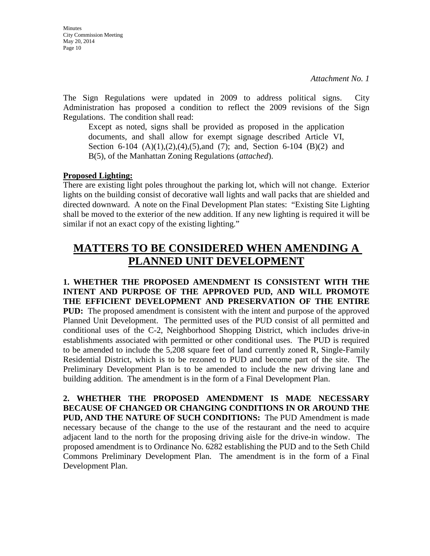The Sign Regulations were updated in 2009 to address political signs. City Administration has proposed a condition to reflect the 2009 revisions of the Sign Regulations. The condition shall read:

Except as noted, signs shall be provided as proposed in the application documents, and shall allow for exempt signage described Article VI, Section 6-104  $(A)(1),(2),(4),(5)$ , and  $(7)$ ; and, Section 6-104  $(B)(2)$  and B(5), of the Manhattan Zoning Regulations (*attached*).

#### **Proposed Lighting:**

There are existing light poles throughout the parking lot, which will not change. Exterior lights on the building consist of decorative wall lights and wall packs that are shielded and directed downward. A note on the Final Development Plan states: "Existing Site Lighting shall be moved to the exterior of the new addition. If any new lighting is required it will be similar if not an exact copy of the existing lighting."

# **MATTERS TO BE CONSIDERED WHEN AMENDING A PLANNED UNIT DEVELOPMENT**

**1. WHETHER THE PROPOSED AMENDMENT IS CONSISTENT WITH THE INTENT AND PURPOSE OF THE APPROVED PUD, AND WILL PROMOTE THE EFFICIENT DEVELOPMENT AND PRESERVATION OF THE ENTIRE PUD:** The proposed amendment is consistent with the intent and purpose of the approved Planned Unit Development. The permitted uses of the PUD consist of all permitted and conditional uses of the C-2, Neighborhood Shopping District, which includes drive-in establishments associated with permitted or other conditional uses. The PUD is required to be amended to include the 5,208 square feet of land currently zoned R, Single-Family Residential District, which is to be rezoned to PUD and become part of the site. The Preliminary Development Plan is to be amended to include the new driving lane and building addition. The amendment is in the form of a Final Development Plan.

**2. WHETHER THE PROPOSED AMENDMENT IS MADE NECESSARY BECAUSE OF CHANGED OR CHANGING CONDITIONS IN OR AROUND THE PUD, AND THE NATURE OF SUCH CONDITIONS:** The PUD Amendment is made necessary because of the change to the use of the restaurant and the need to acquire adjacent land to the north for the proposing driving aisle for the drive-in window. The proposed amendment is to Ordinance No. 6282 establishing the PUD and to the Seth Child Commons Preliminary Development Plan. The amendment is in the form of a Final Development Plan.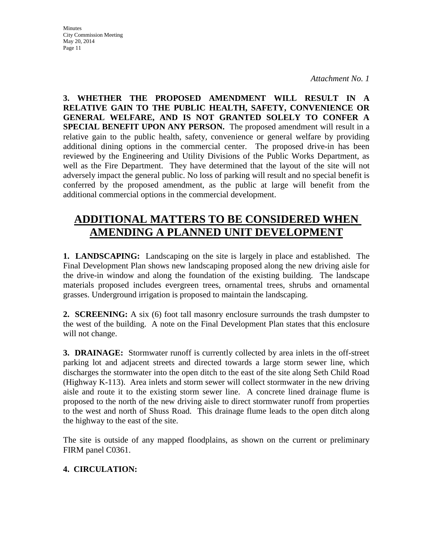*Attachment No. 1*

**3. WHETHER THE PROPOSED AMENDMENT WILL RESULT IN A RELATIVE GAIN TO THE PUBLIC HEALTH, SAFETY, CONVENIENCE OR GENERAL WELFARE, AND IS NOT GRANTED SOLELY TO CONFER A SPECIAL BENEFIT UPON ANY PERSON.** The proposed amendment will result in a relative gain to the public health, safety, convenience or general welfare by providing additional dining options in the commercial center. The proposed drive-in has been reviewed by the Engineering and Utility Divisions of the Public Works Department, as well as the Fire Department. They have determined that the layout of the site will not adversely impact the general public. No loss of parking will result and no special benefit is conferred by the proposed amendment, as the public at large will benefit from the additional commercial options in the commercial development.

# **ADDITIONAL MATTERS TO BE CONSIDERED WHEN AMENDING A PLANNED UNIT DEVELOPMENT**

**1. LANDSCAPING:** Landscaping on the site is largely in place and established. The Final Development Plan shows new landscaping proposed along the new driving aisle for the drive-in window and along the foundation of the existing building. The landscape materials proposed includes evergreen trees, ornamental trees, shrubs and ornamental grasses. Underground irrigation is proposed to maintain the landscaping.

**2. SCREENING:** A six (6) foot tall masonry enclosure surrounds the trash dumpster to the west of the building. A note on the Final Development Plan states that this enclosure will not change.

**3. DRAINAGE:** Stormwater runoff is currently collected by area inlets in the off-street parking lot and adjacent streets and directed towards a large storm sewer line, which discharges the stormwater into the open ditch to the east of the site along Seth Child Road (Highway K-113). Area inlets and storm sewer will collect stormwater in the new driving aisle and route it to the existing storm sewer line. A concrete lined drainage flume is proposed to the north of the new driving aisle to direct stormwater runoff from properties to the west and north of Shuss Road. This drainage flume leads to the open ditch along the highway to the east of the site.

The site is outside of any mapped floodplains, as shown on the current or preliminary FIRM panel C0361.

# **4. CIRCULATION:**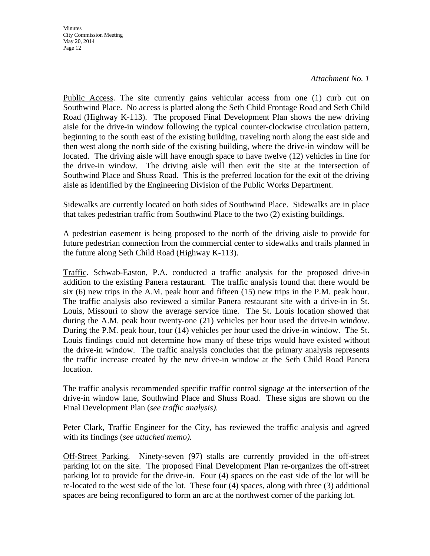*Attachment No. 1*

Public Access. The site currently gains vehicular access from one (1) curb cut on Southwind Place. No access is platted along the Seth Child Frontage Road and Seth Child Road (Highway K-113). The proposed Final Development Plan shows the new driving aisle for the drive-in window following the typical counter-clockwise circulation pattern, beginning to the south east of the existing building, traveling north along the east side and then west along the north side of the existing building, where the drive-in window will be located. The driving aisle will have enough space to have twelve (12) vehicles in line for the drive-in window. The driving aisle will then exit the site at the intersection of Southwind Place and Shuss Road. This is the preferred location for the exit of the driving aisle as identified by the Engineering Division of the Public Works Department.

Sidewalks are currently located on both sides of Southwind Place. Sidewalks are in place that takes pedestrian traffic from Southwind Place to the two (2) existing buildings.

A pedestrian easement is being proposed to the north of the driving aisle to provide for future pedestrian connection from the commercial center to sidewalks and trails planned in the future along Seth Child Road (Highway K-113).

Traffic. Schwab-Easton, P.A. conducted a traffic analysis for the proposed drive-in addition to the existing Panera restaurant. The traffic analysis found that there would be six (6) new trips in the A.M. peak hour and fifteen (15) new trips in the P.M. peak hour. The traffic analysis also reviewed a similar Panera restaurant site with a drive-in in St. Louis, Missouri to show the average service time. The St. Louis location showed that during the A.M. peak hour twenty-one (21) vehicles per hour used the drive-in window. During the P.M. peak hour, four (14) vehicles per hour used the drive-in window. The St. Louis findings could not determine how many of these trips would have existed without the drive-in window. The traffic analysis concludes that the primary analysis represents the traffic increase created by the new drive-in window at the Seth Child Road Panera location.

The traffic analysis recommended specific traffic control signage at the intersection of the drive-in window lane, Southwind Place and Shuss Road. These signs are shown on the Final Development Plan (*see traffic analysis).*

Peter Clark, Traffic Engineer for the City, has reviewed the traffic analysis and agreed with its findings (*see attached memo).*

Off-Street Parking. Ninety-seven (97) stalls are currently provided in the off-street parking lot on the site. The proposed Final Development Plan re-organizes the off-street parking lot to provide for the drive-in. Four (4) spaces on the east side of the lot will be re-located to the west side of the lot. These four (4) spaces, along with three (3) additional spaces are being reconfigured to form an arc at the northwest corner of the parking lot.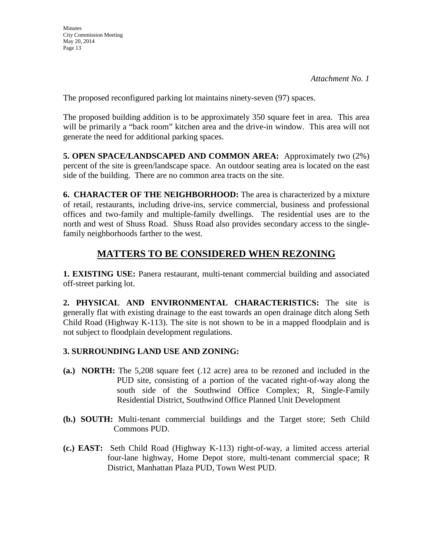The proposed reconfigured parking lot maintains ninety-seven (97) spaces.

The proposed building addition is to be approximately 350 square feet in area. This area will be primarily a "back room" kitchen area and the drive-in window. This area will not generate the need for additional parking spaces.

**5. OPEN SPACE/LANDSCAPED AND COMMON AREA:** Approximately two (2%) percent of the site is green/landscape space. An outdoor seating area is located on the east side of the building. There are no common area tracts on the site.

**6. CHARACTER OF THE NEIGHBORHOOD:** The area is characterized by a mixture of retail, restaurants, including drive-ins, service commercial, business and professional offices and two-family and multiple-family dwellings. The residential uses are to the north and west of Shuss Road. Shuss Road also provides secondary access to the singlefamily neighborhoods farther to the west.

# **MATTERS TO BE CONSIDERED WHEN REZONING**

**1. EXISTING USE:** Panera restaurant, multi-tenant commercial building and associated off-street parking lot.

**2. PHYSICAL AND ENVIRONMENTAL CHARACTERISTICS:** The site is generally flat with existing drainage to the east towards an open drainage ditch along Seth Child Road (Highway K-113). The site is not shown to be in a mapped floodplain and is not subject to floodplain development regulations.

# **3. SURROUNDING LAND USE AND ZONING:**

- **(a.) NORTH:** The 5,208 square feet (.12 acre) area to be rezoned and included in the PUD site, consisting of a portion of the vacated right-of-way along the south side of the Southwind Office Complex; R, Single-Family Residential District, Southwind Office Planned Unit Development
- **(b.) SOUTH:** Multi-tenant commercial buildings and the Target store; Seth Child Commons PUD.
- **(c.) EAST:** Seth Child Road (Highway K-113) right-of-way, a limited access arterial four-lane highway, Home Depot store, multi-tenant commercial space; R District, Manhattan Plaza PUD, Town West PUD.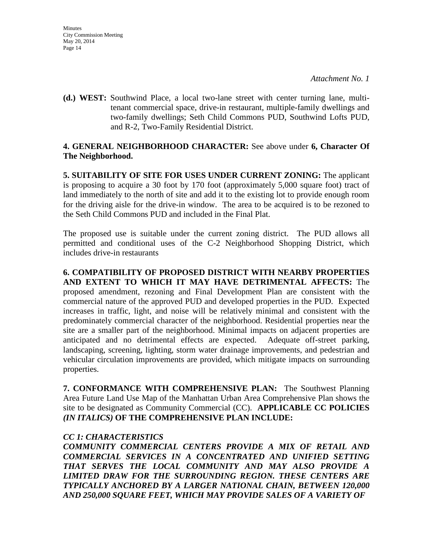**(d.) WEST:** Southwind Place, a local two-lane street with center turning lane, multitenant commercial space, drive-in restaurant, multiple-family dwellings and two-family dwellings; Seth Child Commons PUD, Southwind Lofts PUD, and R-2, Two-Family Residential District.

# **4. GENERAL NEIGHBORHOOD CHARACTER:** See above under **6, Character Of The Neighborhood.**

**5. SUITABILITY OF SITE FOR USES UNDER CURRENT ZONING:** The applicant is proposing to acquire a 30 foot by 170 foot (approximately 5,000 square foot) tract of land immediately to the north of site and add it to the existing lot to provide enough room for the driving aisle for the drive-in window. The area to be acquired is to be rezoned to the Seth Child Commons PUD and included in the Final Plat.

The proposed use is suitable under the current zoning district. The PUD allows all permitted and conditional uses of the C-2 Neighborhood Shopping District, which includes drive-in restaurants

**6. COMPATIBILITY OF PROPOSED DISTRICT WITH NEARBY PROPERTIES AND EXTENT TO WHICH IT MAY HAVE DETRIMENTAL AFFECTS:** The proposed amendment, rezoning and Final Development Plan are consistent with the commercial nature of the approved PUD and developed properties in the PUD. Expected increases in traffic, light, and noise will be relatively minimal and consistent with the predominately commercial character of the neighborhood. Residential properties near the site are a smaller part of the neighborhood. Minimal impacts on adjacent properties are anticipated and no detrimental effects are expected. Adequate off-street parking, landscaping, screening, lighting, storm water drainage improvements, and pedestrian and vehicular circulation improvements are provided, which mitigate impacts on surrounding properties.

**7. CONFORMANCE WITH COMPREHENSIVE PLAN:** The Southwest Planning Area Future Land Use Map of the Manhattan Urban Area Comprehensive Plan shows the site to be designated as Community Commercial (CC). **APPLICABLE CC POLICIES**  *(IN ITALICS)* **OF THE COMPREHENSIVE PLAN INCLUDE:**

# *CC 1: CHARACTERISTICS*

*COMMUNITY COMMERCIAL CENTERS PROVIDE A MIX OF RETAIL AND COMMERCIAL SERVICES IN A CONCENTRATED AND UNIFIED SETTING THAT SERVES THE LOCAL COMMUNITY AND MAY ALSO PROVIDE A LIMITED DRAW FOR THE SURROUNDING REGION. THESE CENTERS ARE TYPICALLY ANCHORED BY A LARGER NATIONAL CHAIN, BETWEEN 120,000 AND 250,000 SQUARE FEET, WHICH MAY PROVIDE SALES OF A VARIETY OF*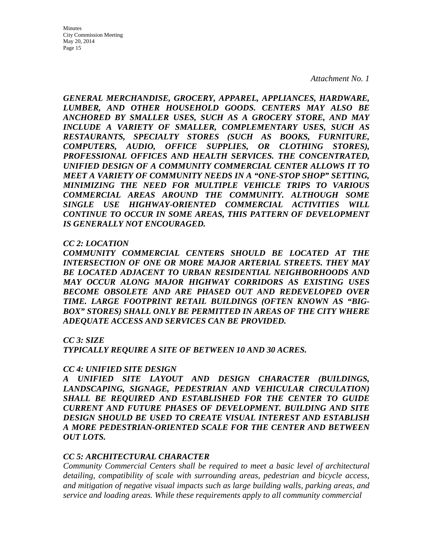*Attachment No. 1*

*GENERAL MERCHANDISE, GROCERY, APPAREL, APPLIANCES, HARDWARE, LUMBER, AND OTHER HOUSEHOLD GOODS. CENTERS MAY ALSO BE ANCHORED BY SMALLER USES, SUCH AS A GROCERY STORE, AND MAY INCLUDE A VARIETY OF SMALLER, COMPLEMENTARY USES, SUCH AS RESTAURANTS, SPECIALTY STORES (SUCH AS BOOKS, FURNITURE, COMPUTERS, AUDIO, OFFICE SUPPLIES, OR CLOTHING STORES), PROFESSIONAL OFFICES AND HEALTH SERVICES. THE CONCENTRATED, UNIFIED DESIGN OF A COMMUNITY COMMERCIAL CENTER ALLOWS IT TO MEET A VARIETY OF COMMUNITY NEEDS IN A "ONE-STOP SHOP" SETTING, MINIMIZING THE NEED FOR MULTIPLE VEHICLE TRIPS TO VARIOUS COMMERCIAL AREAS AROUND THE COMMUNITY. ALTHOUGH SOME SINGLE USE HIGHWAY-ORIENTED COMMERCIAL ACTIVITIES WILL CONTINUE TO OCCUR IN SOME AREAS, THIS PATTERN OF DEVELOPMENT IS GENERALLY NOT ENCOURAGED.* 

#### *CC 2: LOCATION*

*COMMUNITY COMMERCIAL CENTERS SHOULD BE LOCATED AT THE INTERSECTION OF ONE OR MORE MAJOR ARTERIAL STREETS. THEY MAY BE LOCATED ADJACENT TO URBAN RESIDENTIAL NEIGHBORHOODS AND MAY OCCUR ALONG MAJOR HIGHWAY CORRIDORS AS EXISTING USES BECOME OBSOLETE AND ARE PHASED OUT AND REDEVELOPED OVER TIME. LARGE FOOTPRINT RETAIL BUILDINGS (OFTEN KNOWN AS "BIG-BOX" STORES) SHALL ONLY BE PERMITTED IN AREAS OF THE CITY WHERE ADEQUATE ACCESS AND SERVICES CAN BE PROVIDED.* 

#### *CC 3: SIZE*

*TYPICALLY REQUIRE A SITE OF BETWEEN 10 AND 30 ACRES.*

#### *CC 4: UNIFIED SITE DESIGN*

*A UNIFIED SITE LAYOUT AND DESIGN CHARACTER (BUILDINGS, LANDSCAPING, SIGNAGE, PEDESTRIAN AND VEHICULAR CIRCULATION) SHALL BE REQUIRED AND ESTABLISHED FOR THE CENTER TO GUIDE CURRENT AND FUTURE PHASES OF DEVELOPMENT. BUILDING AND SITE DESIGN SHOULD BE USED TO CREATE VISUAL INTEREST AND ESTABLISH A MORE PEDESTRIAN-ORIENTED SCALE FOR THE CENTER AND BETWEEN OUT LOTS.* 

#### *CC 5: ARCHITECTURAL CHARACTER*

*Community Commercial Centers shall be required to meet a basic level of architectural detailing, compatibility of scale with surrounding areas, pedestrian and bicycle access, and mitigation of negative visual impacts such as large building walls, parking areas, and service and loading areas. While these requirements apply to all community commercial*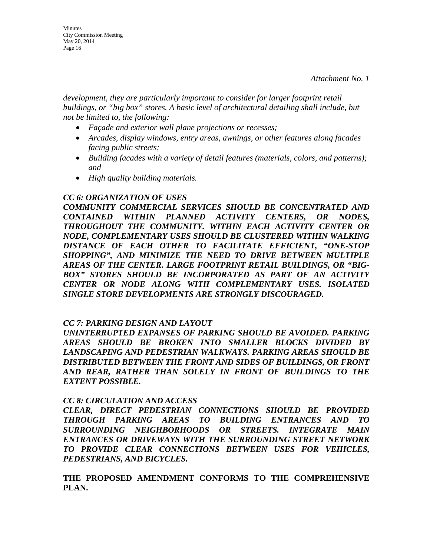*development, they are particularly important to consider for larger footprint retail buildings, or "big box" stores. A basic level of architectural detailing shall include, but not be limited to, the following:* 

- *Façade and exterior wall plane projections or recesses;*
- *Arcades, display windows, entry areas, awnings, or other features along facades facing public streets;*
- *Building facades with a variety of detail features (materials, colors, and patterns); and*
- *High quality building materials.*

### *CC 6: ORGANIZATION OF USES*

*COMMUNITY COMMERCIAL SERVICES SHOULD BE CONCENTRATED AND CONTAINED WITHIN PLANNED ACTIVITY CENTERS, OR NODES, THROUGHOUT THE COMMUNITY. WITHIN EACH ACTIVITY CENTER OR NODE, COMPLEMENTARY USES SHOULD BE CLUSTERED WITHIN WALKING DISTANCE OF EACH OTHER TO FACILITATE EFFICIENT, "ONE-STOP SHOPPING", AND MINIMIZE THE NEED TO DRIVE BETWEEN MULTIPLE AREAS OF THE CENTER. LARGE FOOTPRINT RETAIL BUILDINGS, OR "BIG-BOX" STORES SHOULD BE INCORPORATED AS PART OF AN ACTIVITY CENTER OR NODE ALONG WITH COMPLEMENTARY USES. ISOLATED SINGLE STORE DEVELOPMENTS ARE STRONGLY DISCOURAGED.* 

#### *CC 7: PARKING DESIGN AND LAYOUT*

*UNINTERRUPTED EXPANSES OF PARKING SHOULD BE AVOIDED. PARKING AREAS SHOULD BE BROKEN INTO SMALLER BLOCKS DIVIDED BY LANDSCAPING AND PEDESTRIAN WALKWAYS. PARKING AREAS SHOULD BE DISTRIBUTED BETWEEN THE FRONT AND SIDES OF BUILDINGS, OR FRONT AND REAR, RATHER THAN SOLELY IN FRONT OF BUILDINGS TO THE EXTENT POSSIBLE.* 

#### *CC 8: CIRCULATION AND ACCESS*

*CLEAR, DIRECT PEDESTRIAN CONNECTIONS SHOULD BE PROVIDED THROUGH PARKING AREAS TO BUILDING ENTRANCES AND TO SURROUNDING NEIGHBORHOODS OR STREETS. INTEGRATE MAIN ENTRANCES OR DRIVEWAYS WITH THE SURROUNDING STREET NETWORK TO PROVIDE CLEAR CONNECTIONS BETWEEN USES FOR VEHICLES, PEDESTRIANS, AND BICYCLES.* 

**THE PROPOSED AMENDMENT CONFORMS TO THE COMPREHENSIVE PLAN.**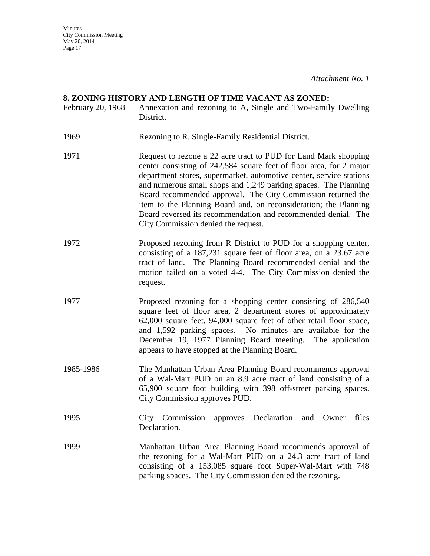*Attachment No. 1*

#### **8. ZONING HISTORY AND LENGTH OF TIME VACANT AS ZONED:**

- February 20, 1968 Annexation and rezoning to A, Single and Two-Family Dwelling District.
- 1969 Rezoning to R, Single-Family Residential District.
- 1971 Request to rezone a 22 acre tract to PUD for Land Mark shopping center consisting of 242,584 square feet of floor area, for 2 major department stores, supermarket, automotive center, service stations and numerous small shops and 1,249 parking spaces. The Planning Board recommended approval. The City Commission returned the item to the Planning Board and, on reconsideration; the Planning Board reversed its recommendation and recommended denial. The City Commission denied the request.
- 1972 Proposed rezoning from R District to PUD for a shopping center, consisting of a 187,231 square feet of floor area, on a 23.67 acre tract of land. The Planning Board recommended denial and the motion failed on a voted 4-4. The City Commission denied the request.
- 1977 Proposed rezoning for a shopping center consisting of 286,540 square feet of floor area, 2 department stores of approximately 62,000 square feet, 94,000 square feet of other retail floor space, and 1,592 parking spaces. No minutes are available for the December 19, 1977 Planning Board meeting. The application appears to have stopped at the Planning Board.
- 1985-1986 The Manhattan Urban Area Planning Board recommends approval of a Wal-Mart PUD on an 8.9 acre tract of land consisting of a 65,900 square foot building with 398 off-street parking spaces. City Commission approves PUD.
- 1995 City Commission approves Declaration and Owner files Declaration.
- 1999 Manhattan Urban Area Planning Board recommends approval of the rezoning for a Wal-Mart PUD on a 24.3 acre tract of land consisting of a 153,085 square foot Super-Wal-Mart with 748 parking spaces. The City Commission denied the rezoning.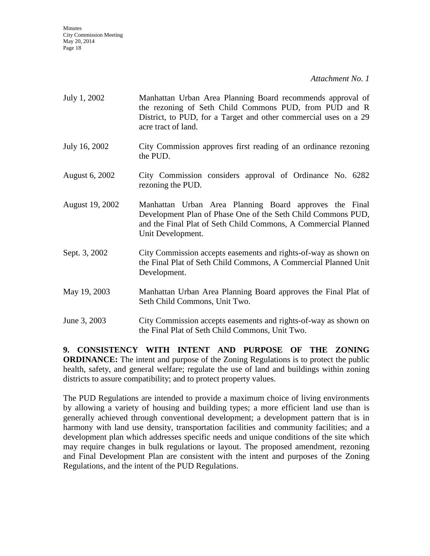| July 1, 2002    | Manhattan Urban Area Planning Board recommends approval of<br>the rezoning of Seth Child Commons PUD, from PUD and R<br>District, to PUD, for a Target and other commercial uses on a 29<br>acre tract of land. |
|-----------------|-----------------------------------------------------------------------------------------------------------------------------------------------------------------------------------------------------------------|
| July 16, 2002   | City Commission approves first reading of an ordinance rezoning<br>the PUD.                                                                                                                                     |
| August 6, 2002  | City Commission considers approval of Ordinance No. 6282<br>rezoning the PUD.                                                                                                                                   |
| August 19, 2002 | Manhattan Urban Area Planning Board approves the Final<br>Development Plan of Phase One of the Seth Child Commons PUD,<br>and the Final Plat of Seth Child Commons, A Commercial Planned<br>Unit Development.   |
| Sept. 3, 2002   | City Commission accepts easements and rights-of-way as shown on<br>the Final Plat of Seth Child Commons, A Commercial Planned Unit<br>Development.                                                              |
| May 19, 2003    | Manhattan Urban Area Planning Board approves the Final Plat of<br>Seth Child Commons, Unit Two.                                                                                                                 |
| June 3, 2003    | City Commission accepts easements and rights-of-way as shown on<br>the Final Plat of Seth Child Commons, Unit Two.                                                                                              |

**9. CONSISTENCY WITH INTENT AND PURPOSE OF THE ZONING ORDINANCE:** The intent and purpose of the Zoning Regulations is to protect the public health, safety, and general welfare; regulate the use of land and buildings within zoning districts to assure compatibility; and to protect property values.

The PUD Regulations are intended to provide a maximum choice of living environments by allowing a variety of housing and building types; a more efficient land use than is generally achieved through conventional development; a development pattern that is in harmony with land use density, transportation facilities and community facilities; and a development plan which addresses specific needs and unique conditions of the site which may require changes in bulk regulations or layout. The proposed amendment, rezoning and Final Development Plan are consistent with the intent and purposes of the Zoning Regulations, and the intent of the PUD Regulations.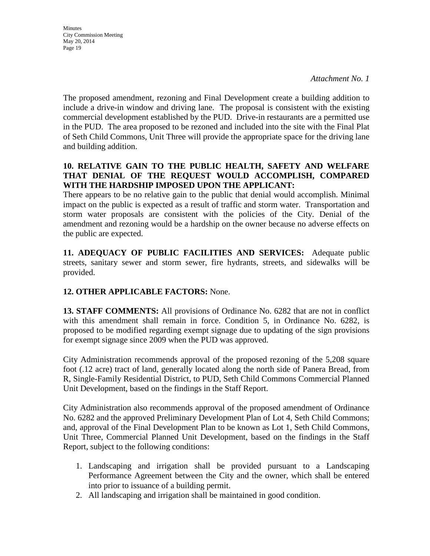*Attachment No. 1*

The proposed amendment, rezoning and Final Development create a building addition to include a drive-in window and driving lane. The proposal is consistent with the existing commercial development established by the PUD. Drive-in restaurants are a permitted use in the PUD. The area proposed to be rezoned and included into the site with the Final Plat of Seth Child Commons, Unit Three will provide the appropriate space for the driving lane and building addition.

# **10. RELATIVE GAIN TO THE PUBLIC HEALTH, SAFETY AND WELFARE THAT DENIAL OF THE REQUEST WOULD ACCOMPLISH, COMPARED WITH THE HARDSHIP IMPOSED UPON THE APPLICANT:**

There appears to be no relative gain to the public that denial would accomplish. Minimal impact on the public is expected as a result of traffic and storm water. Transportation and storm water proposals are consistent with the policies of the City. Denial of the amendment and rezoning would be a hardship on the owner because no adverse effects on the public are expected.

**11. ADEQUACY OF PUBLIC FACILITIES AND SERVICES:** Adequate public streets, sanitary sewer and storm sewer, fire hydrants, streets, and sidewalks will be provided.

# **12. OTHER APPLICABLE FACTORS:** None.

**13. STAFF COMMENTS:** All provisions of Ordinance No. 6282 that are not in conflict with this amendment shall remain in force. Condition 5, in Ordinance No. 6282, is proposed to be modified regarding exempt signage due to updating of the sign provisions for exempt signage since 2009 when the PUD was approved.

City Administration recommends approval of the proposed rezoning of the 5,208 square foot (.12 acre) tract of land, generally located along the north side of Panera Bread, from R, Single-Family Residential District, to PUD, Seth Child Commons Commercial Planned Unit Development, based on the findings in the Staff Report.

City Administration also recommends approval of the proposed amendment of Ordinance No. 6282 and the approved Preliminary Development Plan of Lot 4, Seth Child Commons; and, approval of the Final Development Plan to be known as Lot 1, Seth Child Commons, Unit Three, Commercial Planned Unit Development, based on the findings in the Staff Report, subject to the following conditions:

- 1. Landscaping and irrigation shall be provided pursuant to a Landscaping Performance Agreement between the City and the owner, which shall be entered into prior to issuance of a building permit.
- 2. All landscaping and irrigation shall be maintained in good condition.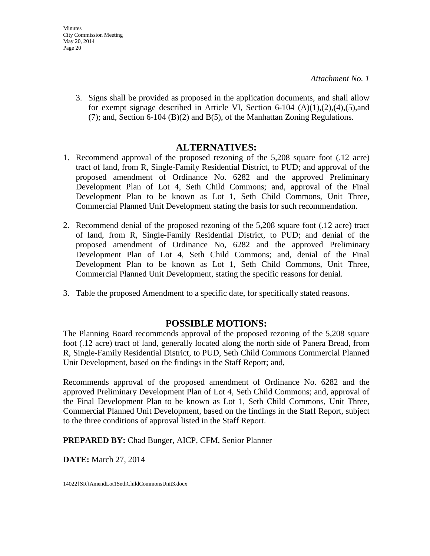3. Signs shall be provided as proposed in the application documents, and shall allow for exempt signage described in Article VI, Section 6-104  $(A)(1),(2),(4),(5)$ , and (7); and, Section 6-104 (B)(2) and B(5), of the Manhattan Zoning Regulations.

# **ALTERNATIVES:**

- 1. Recommend approval of the proposed rezoning of the 5,208 square foot (.12 acre) tract of land, from R, Single-Family Residential District, to PUD; and approval of the proposed amendment of Ordinance No. 6282 and the approved Preliminary Development Plan of Lot 4, Seth Child Commons; and, approval of the Final Development Plan to be known as Lot 1, Seth Child Commons, Unit Three, Commercial Planned Unit Development stating the basis for such recommendation.
- 2. Recommend denial of the proposed rezoning of the 5,208 square foot (.12 acre) tract of land, from R, Single-Family Residential District, to PUD; and denial of the proposed amendment of Ordinance No, 6282 and the approved Preliminary Development Plan of Lot 4, Seth Child Commons; and, denial of the Final Development Plan to be known as Lot 1, Seth Child Commons, Unit Three, Commercial Planned Unit Development, stating the specific reasons for denial.
- 3. Table the proposed Amendment to a specific date, for specifically stated reasons.

# **POSSIBLE MOTIONS:**

The Planning Board recommends approval of the proposed rezoning of the 5,208 square foot (.12 acre) tract of land, generally located along the north side of Panera Bread, from R, Single-Family Residential District, to PUD, Seth Child Commons Commercial Planned Unit Development, based on the findings in the Staff Report; and,

Recommends approval of the proposed amendment of Ordinance No. 6282 and the approved Preliminary Development Plan of Lot 4, Seth Child Commons; and, approval of the Final Development Plan to be known as Lot 1, Seth Child Commons, Unit Three, Commercial Planned Unit Development, based on the findings in the Staff Report, subject to the three conditions of approval listed in the Staff Report.

**PREPARED BY:** Chad Bunger, AICP, CFM, Senior Planner

**DATE:** March 27, 2014

14022}SR}AmendLot1SethChildCommonsUnit3.docx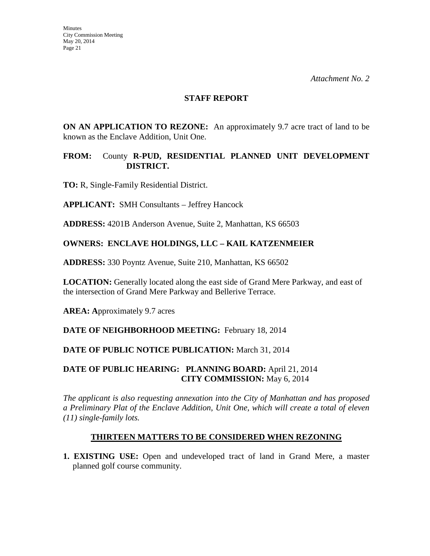### **STAFF REPORT**

**ON AN APPLICATION TO REZONE:** An approximately 9.7 acre tract of land to be known as the Enclave Addition, Unit One.

## **FROM:** County **R-PUD, RESIDENTIAL PLANNED UNIT DEVELOPMENT DISTRICT.**

**TO:** R, Single-Family Residential District.

**APPLICANT:** SMH Consultants – Jeffrey Hancock

**ADDRESS:** 4201B Anderson Avenue, Suite 2, Manhattan, KS 66503

# **OWNERS: ENCLAVE HOLDINGS, LLC – KAIL KATZENMEIER**

**ADDRESS:** 330 Poyntz Avenue, Suite 210, Manhattan, KS 66502

**LOCATION:** Generally located along the east side of Grand Mere Parkway, and east of the intersection of Grand Mere Parkway and Bellerive Terrace.

**AREA: A**pproximately 9.7 acres

**DATE OF NEIGHBORHOOD MEETING:** February 18, 2014

# **DATE OF PUBLIC NOTICE PUBLICATION:** March 31, 2014

# **DATE OF PUBLIC HEARING: PLANNING BOARD:** April 21, 2014 **CITY COMMISSION:** May 6, 2014

*The applicant is also requesting annexation into the City of Manhattan and has proposed a Preliminary Plat of the Enclave Addition*, *Unit One, which will create a total of eleven (11) single-family lots.*

# **THIRTEEN MATTERS TO BE CONSIDERED WHEN REZONING**

**1. EXISTING USE:** Open and undeveloped tract of land in Grand Mere, a master planned golf course community.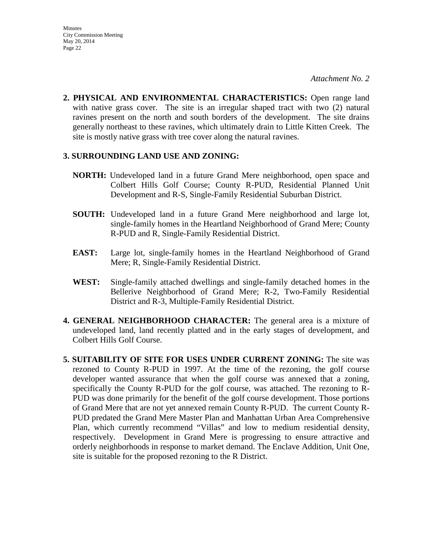**2. PHYSICAL AND ENVIRONMENTAL CHARACTERISTICS:** Open range land with native grass cover. The site is an irregular shaped tract with two  $(2)$  natural ravines present on the north and south borders of the development. The site drains generally northeast to these ravines, which ultimately drain to Little Kitten Creek. The site is mostly native grass with tree cover along the natural ravines.

#### **3. SURROUNDING LAND USE AND ZONING:**

- **NORTH:** Undeveloped land in a future Grand Mere neighborhood, open space and Colbert Hills Golf Course; County R-PUD, Residential Planned Unit Development and R-S, Single-Family Residential Suburban District.
- **SOUTH:** Undeveloped land in a future Grand Mere neighborhood and large lot, single-family homes in the Heartland Neighborhood of Grand Mere; County R-PUD and R, Single-Family Residential District.
- **EAST:** Large lot, single-family homes in the Heartland Neighborhood of Grand Mere; R, Single-Family Residential District.
- **WEST:** Single-family attached dwellings and single-family detached homes in the Bellerive Neighborhood of Grand Mere; R-2, Two-Family Residential District and R-3, Multiple-Family Residential District.
- **4. GENERAL NEIGHBORHOOD CHARACTER:** The general area is a mixture of undeveloped land, land recently platted and in the early stages of development, and Colbert Hills Golf Course.
- **5. SUITABILITY OF SITE FOR USES UNDER CURRENT ZONING:** The site was rezoned to County R-PUD in 1997. At the time of the rezoning, the golf course developer wanted assurance that when the golf course was annexed that a zoning, specifically the County R-PUD for the golf course, was attached. The rezoning to R-PUD was done primarily for the benefit of the golf course development. Those portions of Grand Mere that are not yet annexed remain County R-PUD. The current County R-PUD predated the Grand Mere Master Plan and Manhattan Urban Area Comprehensive Plan, which currently recommend "Villas" and low to medium residential density, respectively. Development in Grand Mere is progressing to ensure attractive and orderly neighborhoods in response to market demand. The Enclave Addition, Unit One, site is suitable for the proposed rezoning to the R District.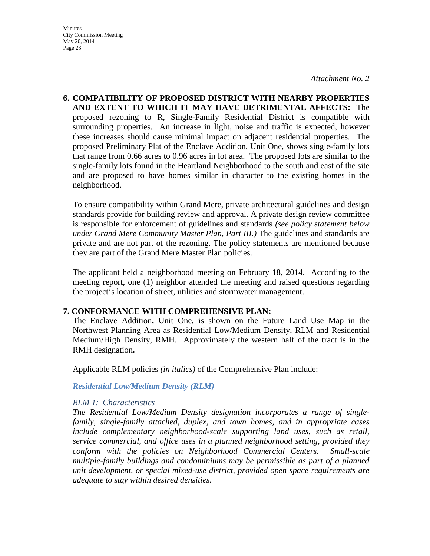**6. COMPATIBILITY OF PROPOSED DISTRICT WITH NEARBY PROPERTIES AND EXTENT TO WHICH IT MAY HAVE DETRIMENTAL AFFECTS:** The proposed rezoning to R, Single-Family Residential District is compatible with surrounding properties. An increase in light, noise and traffic is expected, however these increases should cause minimal impact on adjacent residential properties. The proposed Preliminary Plat of the Enclave Addition, Unit One, shows single-family lots that range from 0.66 acres to 0.96 acres in lot area. The proposed lots are similar to the single-family lots found in the Heartland Neighborhood to the south and east of the site and are proposed to have homes similar in character to the existing homes in the neighborhood.

To ensure compatibility within Grand Mere, private architectural guidelines and design standards provide for building review and approval. A private design review committee is responsible for enforcement of guidelines and standards *(see policy statement below under Grand Mere Community Master Plan, Part III.)* The guidelines and standards are private and are not part of the rezoning. The policy statements are mentioned because they are part of the Grand Mere Master Plan policies.

The applicant held a neighborhood meeting on February 18, 2014. According to the meeting report, one (1) neighbor attended the meeting and raised questions regarding the project's location of street, utilities and stormwater management.

#### **7. CONFORMANCE WITH COMPREHENSIVE PLAN:**

The Enclave Addition**,** Unit One**,** is shown on the Future Land Use Map in the Northwest Planning Area as Residential Low/Medium Density, RLM and Residential Medium/High Density, RMH. Approximately the western half of the tract is in the RMH designation**.**

Applicable RLM policies *(in italics)* of the Comprehensive Plan include:

#### *Residential Low/Medium Density (RLM)*

#### *RLM 1: Characteristics*

*The Residential Low/Medium Density designation incorporates a range of singlefamily, single-family attached, duplex, and town homes, and in appropriate cases include complementary neighborhood-scale supporting land uses, such as retail, service commercial, and office uses in a planned neighborhood setting, provided they conform with the policies on Neighborhood Commercial Centers. Small-scale multiple-family buildings and condominiums may be permissible as part of a planned unit development, or special mixed-use district, provided open space requirements are adequate to stay within desired densities.*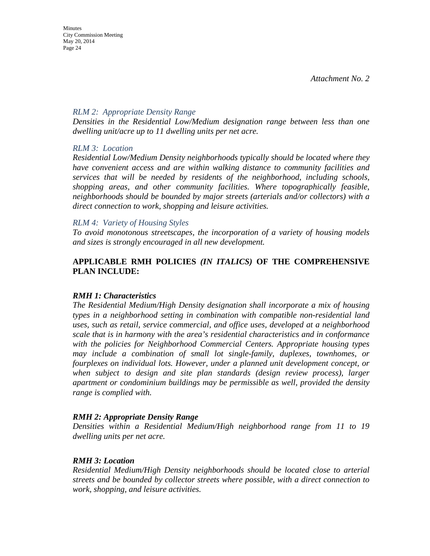#### *RLM 2: Appropriate Density Range*

*Densities in the Residential Low/Medium designation range between less than one dwelling unit/acre up to 11 dwelling units per net acre.* 

#### *RLM 3: Location*

*Residential Low/Medium Density neighborhoods typically should be located where they have convenient access and are within walking distance to community facilities and services that will be needed by residents of the neighborhood, including schools, shopping areas, and other community facilities. Where topographically feasible, neighborhoods should be bounded by major streets (arterials and/or collectors) with a direct connection to work, shopping and leisure activities.* 

#### *RLM 4: Variety of Housing Styles*

*To avoid monotonous streetscapes, the incorporation of a variety of housing models and sizes is strongly encouraged in all new development.* 

## **APPLICABLE RMH POLICIES** *(IN ITALICS)* **OF THE COMPREHENSIVE PLAN INCLUDE:**

#### *RMH 1: Characteristics*

*The Residential Medium/High Density designation shall incorporate a mix of housing types in a neighborhood setting in combination with compatible non-residential land uses, such as retail, service commercial, and office uses, developed at a neighborhood scale that is in harmony with the area's residential characteristics and in conformance with the policies for Neighborhood Commercial Centers. Appropriate housing types may include a combination of small lot single-family, duplexes, townhomes, or fourplexes on individual lots. However, under a planned unit development concept, or when subject to design and site plan standards (design review process), larger apartment or condominium buildings may be permissible as well, provided the density range is complied with.* 

#### *RMH 2: Appropriate Density Range*

*Densities within a Residential Medium/High neighborhood range from 11 to 19 dwelling units per net acre.* 

#### *RMH 3: Location*

*Residential Medium/High Density neighborhoods should be located close to arterial streets and be bounded by collector streets where possible, with a direct connection to work, shopping, and leisure activities.*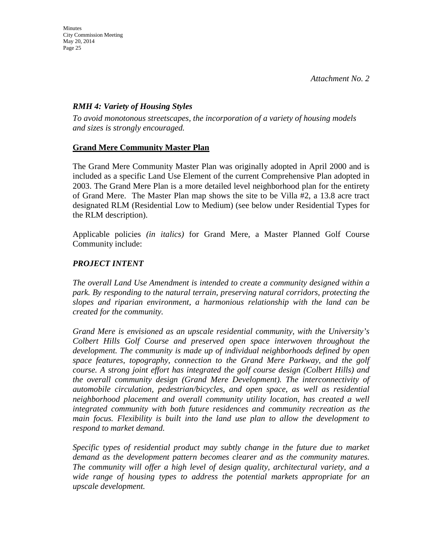# *RMH 4: Variety of Housing Styles*

*To avoid monotonous streetscapes, the incorporation of a variety of housing models and sizes is strongly encouraged.* 

# **Grand Mere Community Master Plan**

The Grand Mere Community Master Plan was originally adopted in April 2000 and is included as a specific Land Use Element of the current Comprehensive Plan adopted in 2003. The Grand Mere Plan is a more detailed level neighborhood plan for the entirety of Grand Mere. The Master Plan map shows the site to be Villa #2, a 13.8 acre tract designated RLM (Residential Low to Medium) (see below under Residential Types for the RLM description).

Applicable policies *(in italics)* for Grand Mere, a Master Planned Golf Course Community include:

# *PROJECT INTENT*

*The overall Land Use Amendment is intended to create a community designed within a park. By responding to the natural terrain, preserving natural corridors, protecting the slopes and riparian environment, a harmonious relationship with the land can be created for the community.* 

*Grand Mere is envisioned as an upscale residential community, with the University's Colbert Hills Golf Course and preserved open space interwoven throughout the development. The community is made up of individual neighborhoods defined by open space features, topography, connection to the Grand Mere Parkway, and the golf course. A strong joint effort has integrated the golf course design (Colbert Hills) and the overall community design (Grand Mere Development). The interconnectivity of automobile circulation, pedestrian/bicycles, and open space, as well as residential neighborhood placement and overall community utility location, has created a well integrated community with both future residences and community recreation as the main focus. Flexibility is built into the land use plan to allow the development to respond to market demand.* 

*Specific types of residential product may subtly change in the future due to market demand as the development pattern becomes clearer and as the community matures. The community will offer a high level of design quality, architectural variety, and a wide range of housing types to address the potential markets appropriate for an upscale development.*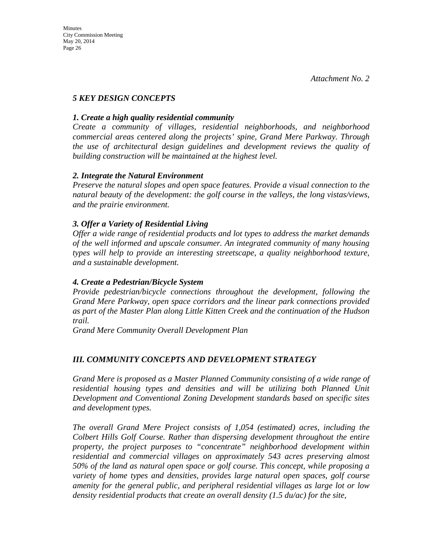# *5 KEY DESIGN CONCEPTS*

# *1. Create a high quality residential community*

*Create a community of villages, residential neighborhoods, and neighborhood commercial areas centered along the projects' spine, Grand Mere Parkway. Through the use of architectural design guidelines and development reviews the quality of building construction will be maintained at the highest level.* 

# *2. Integrate the Natural Environment*

*Preserve the natural slopes and open space features. Provide a visual connection to the natural beauty of the development: the golf course in the valleys, the long vistas/views, and the prairie environment.* 

# *3. Offer a Variety of Residential Living*

*Offer a wide range of residential products and lot types to address the market demands of the well informed and upscale consumer. An integrated community of many housing types will help to provide an interesting streetscape, a quality neighborhood texture, and a sustainable development.* 

# *4. Create a Pedestrian/Bicycle System*

*Provide pedestrian/bicycle connections throughout the development, following the Grand Mere Parkway, open space corridors and the linear park connections provided as part of the Master Plan along Little Kitten Creek and the continuation of the Hudson trail.*

*Grand Mere Community Overall Development Plan* 

# *III. COMMUNITY CONCEPTS AND DEVELOPMENT STRATEGY*

*Grand Mere is proposed as a Master Planned Community consisting of a wide range of residential housing types and densities and will be utilizing both Planned Unit Development and Conventional Zoning Development standards based on specific sites and development types.* 

*The overall Grand Mere Project consists of 1,054 (estimated) acres, including the Colbert Hills Golf Course. Rather than dispersing development throughout the entire property, the project purposes to "concentrate" neighborhood development within residential and commercial villages on approximately 543 acres preserving almost 50% of the land as natural open space or golf course. This concept, while proposing a variety of home types and densities, provides large natural open spaces, golf course amenity for the general public, and peripheral residential villages as large lot or low density residential products that create an overall density (1.5 du/ac) for the site,*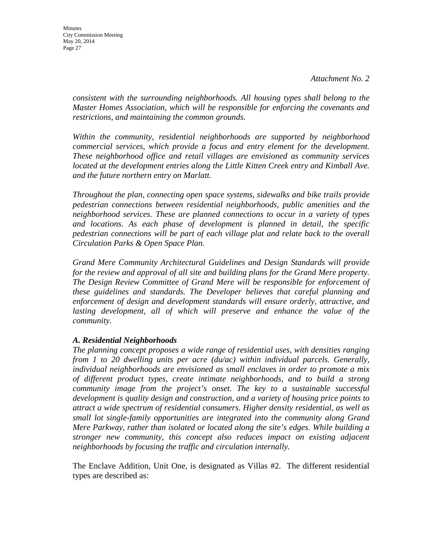*consistent with the surrounding neighborhoods. All housing types shall belong to the Master Homes Association, which will be responsible for enforcing the covenants and restrictions, and maintaining the common grounds.* 

*Within the community, residential neighborhoods are supported by neighborhood commercial services, which provide a focus and entry element for the development. These neighborhood office and retail villages are envisioned as community services*  located at the development entries along the Little Kitten Creek entry and Kimball Ave. *and the future northern entry on Marlatt.* 

*Throughout the plan, connecting open space systems, sidewalks and bike trails provide pedestrian connections between residential neighborhoods, public amenities and the neighborhood services. These are planned connections to occur in a variety of types and locations. As each phase of development is planned in detail, the specific pedestrian connections will be part of each village plat and relate back to the overall Circulation Parks & Open Space Plan.* 

*Grand Mere Community Architectural Guidelines and Design Standards will provide for the review and approval of all site and building plans for the Grand Mere property. The Design Review Committee of Grand Mere will be responsible for enforcement of these guidelines and standards. The Developer believes that careful planning and enforcement of design and development standards will ensure orderly, attractive, and lasting development, all of which will preserve and enhance the value of the community.* 

#### *A. Residential Neighborhoods*

*The planning concept proposes a wide range of residential uses, with densities ranging from 1 to 20 dwelling units per acre (du/ac) within individual parcels. Generally, individual neighborhoods are envisioned as small enclaves in order to promote a mix of different product types, create intimate neighborhoods, and to build a strong community image from the project's onset. The key to a sustainable successful development is quality design and construction, and a variety of housing price points to attract a wide spectrum of residential consumers. Higher density residential, as well as small lot single-family opportunities are integrated into the community along Grand Mere Parkway, rather than isolated or located along the site's edges. While building a stronger new community, this concept also reduces impact on existing adjacent neighborhoods by focusing the traffic and circulation internally.* 

The Enclave Addition, Unit One, is designated as Villas #2. The different residential types are described as: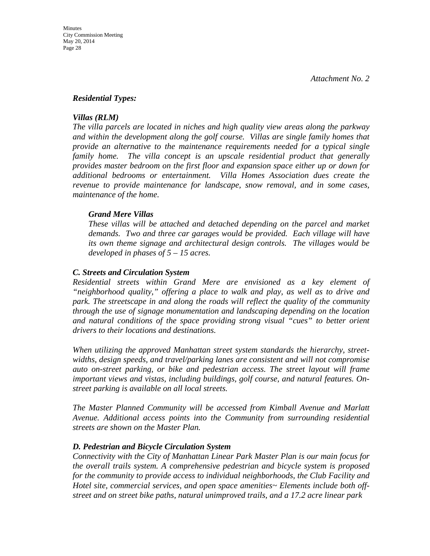#### *Residential Types:*

#### *Villas (RLM)*

*The villa parcels are located in niches and high quality view areas along the parkway and within the development along the golf course. Villas are single family homes that provide an alternative to the maintenance requirements needed for a typical single family home. The villa concept is an upscale residential product that generally provides master bedroom on the first floor and expansion space either up or down for additional bedrooms or entertainment. Villa Homes Association dues create the revenue to provide maintenance for landscape, snow removal, and in some cases, maintenance of the home.* 

#### *Grand Mere Villas*

*These villas will be attached and detached depending on the parcel and market demands. Two and three car garages would be provided. Each village will have its own theme signage and architectural design controls. The villages would be developed in phases of 5 – 15 acres.* 

#### *C. Streets and Circulation System*

*Residential streets within Grand Mere are envisioned as a key element of "neighborhood quality," offering a place to walk and play, as well as to drive and park. The streetscape in and along the roads will reflect the quality of the community through the use of signage monumentation and landscaping depending on the location and natural conditions of the space providing strong visual "cues" to better orient drivers to their locations and destinations.* 

*When utilizing the approved Manhattan street system standards the hierarchy, streetwidths, design speeds, and travel/parking lanes are consistent and will not compromise auto on-street parking, or bike and pedestrian access. The street layout will frame important views and vistas, including buildings, golf course, and natural features. Onstreet parking is available on all local streets.*

*The Master Planned Community will be accessed from Kimball Avenue and Marlatt Avenue. Additional access points into the Community from surrounding residential streets are shown on the Master Plan.* 

#### *D. Pedestrian and Bicycle Circulation System*

*Connectivity with the City of Manhattan Linear Park Master Plan is our main focus for the overall trails system. A comprehensive pedestrian and bicycle system is proposed for the community to provide access to individual neighborhoods, the Club Facility and Hotel site, commercial services, and open space amenities~ Elements include both offstreet and on street bike paths, natural unimproved trails, and a 17.2 acre linear park*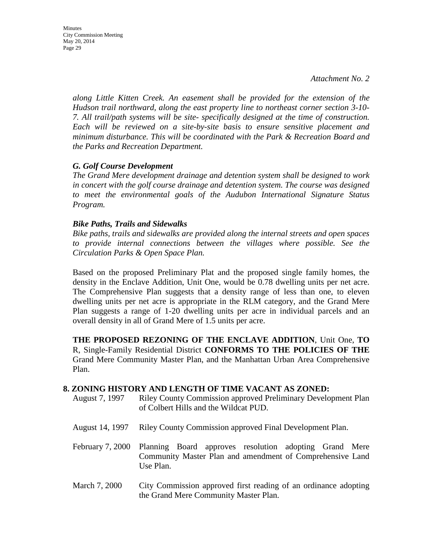*along Little Kitten Creek. An easement shall be provided for the extension of the Hudson trail northward, along the east property line to northeast corner section 3-10- 7. All trail/path systems will be site- specifically designed at the time of construction. Each will be reviewed on a site-by-site basis to ensure sensitive placement and minimum disturbance. This will be coordinated with the Park & Recreation Board and the Parks and Recreation Department.* 

### *G. Golf Course Development*

*The Grand Mere development drainage and detention system shall be designed to work in concert with the golf course drainage and detention system. The course was designed to meet the environmental goals of the Audubon International Signature Status Program.* 

#### *Bike Paths, Trails and Sidewalks*

*Bike paths, trails and sidewalks are provided along the internal streets and open spaces to provide internal connections between the villages where possible. See the Circulation Parks & Open Space Plan.* 

Based on the proposed Preliminary Plat and the proposed single family homes, the density in the Enclave Addition, Unit One, would be 0.78 dwelling units per net acre. The Comprehensive Plan suggests that a density range of less than one, to eleven dwelling units per net acre is appropriate in the RLM category, and the Grand Mere Plan suggests a range of 1-20 dwelling units per acre in individual parcels and an overall density in all of Grand Mere of 1.5 units per acre.

**THE PROPOSED REZONING OF THE ENCLAVE ADDITION**, Unit One, **TO**  R, Single-Family Residential District **CONFORMS TO THE POLICIES OF THE**  Grand Mere Community Master Plan, and the Manhattan Urban Area Comprehensive Plan.

#### **8. ZONING HISTORY AND LENGTH OF TIME VACANT AS ZONED:**

- August 7, 1997 Riley County Commission approved Preliminary Development Plan of Colbert Hills and the Wildcat PUD.
- August 14, 1997 Riley County Commission approved Final Development Plan.
- February 7, 2000 Planning Board approves resolution adopting Grand Mere Community Master Plan and amendment of Comprehensive Land Use Plan.
- March 7, 2000 City Commission approved first reading of an ordinance adopting the Grand Mere Community Master Plan.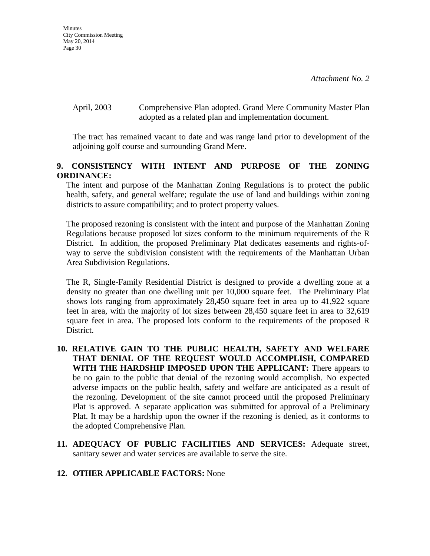April, 2003 Comprehensive Plan adopted. Grand Mere Community Master Plan adopted as a related plan and implementation document.

The tract has remained vacant to date and was range land prior to development of the adjoining golf course and surrounding Grand Mere.

# **9. CONSISTENCY WITH INTENT AND PURPOSE OF THE ZONING ORDINANCE:**

The intent and purpose of the Manhattan Zoning Regulations is to protect the public health, safety, and general welfare; regulate the use of land and buildings within zoning districts to assure compatibility; and to protect property values.

The proposed rezoning is consistent with the intent and purpose of the Manhattan Zoning Regulations because proposed lot sizes conform to the minimum requirements of the R District. In addition, the proposed Preliminary Plat dedicates easements and rights-ofway to serve the subdivision consistent with the requirements of the Manhattan Urban Area Subdivision Regulations.

The R, Single-Family Residential District is designed to provide a dwelling zone at a density no greater than one dwelling unit per 10,000 square feet. The Preliminary Plat shows lots ranging from approximately 28,450 square feet in area up to 41,922 square feet in area, with the majority of lot sizes between 28,450 square feet in area to 32,619 square feet in area. The proposed lots conform to the requirements of the proposed R District.

- **10. RELATIVE GAIN TO THE PUBLIC HEALTH, SAFETY AND WELFARE THAT DENIAL OF THE REQUEST WOULD ACCOMPLISH, COMPARED WITH THE HARDSHIP IMPOSED UPON THE APPLICANT:** There appears to be no gain to the public that denial of the rezoning would accomplish. No expected adverse impacts on the public health, safety and welfare are anticipated as a result of the rezoning. Development of the site cannot proceed until the proposed Preliminary Plat is approved. A separate application was submitted for approval of a Preliminary Plat. It may be a hardship upon the owner if the rezoning is denied, as it conforms to the adopted Comprehensive Plan.
- **11. ADEQUACY OF PUBLIC FACILITIES AND SERVICES:** Adequate street, sanitary sewer and water services are available to serve the site.

# **12. OTHER APPLICABLE FACTORS:** None